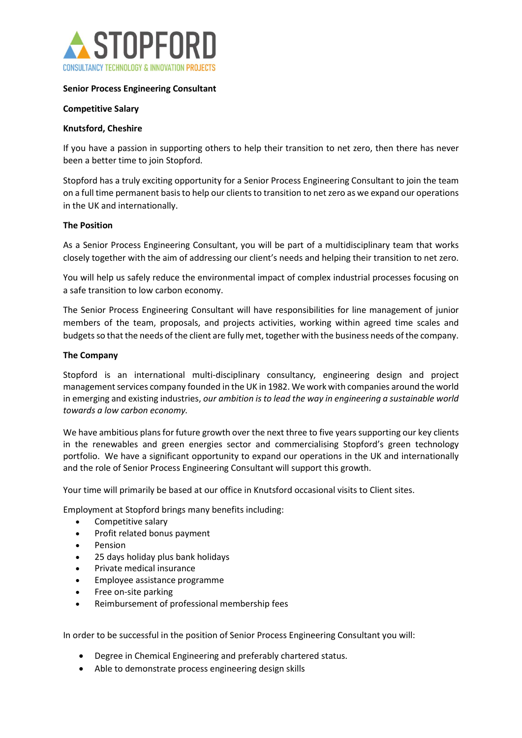

# Senior Process Engineering Consultant

### Competitive Salary

#### Knutsford, Cheshire

If you have a passion in supporting others to help their transition to net zero, then there has never been a better time to join Stopford.

Stopford has a truly exciting opportunity for a Senior Process Engineering Consultant to join the team on a full time permanent basis to help our clients to transition to net zero as we expand our operations in the UK and internationally.

#### The Position

As a Senior Process Engineering Consultant, you will be part of a multidisciplinary team that works closely together with the aim of addressing our client's needs and helping their transition to net zero.

You will help us safely reduce the environmental impact of complex industrial processes focusing on a safe transition to low carbon economy.

The Senior Process Engineering Consultant will have responsibilities for line management of junior members of the team, proposals, and projects activities, working within agreed time scales and budgets so that the needs of the client are fully met, together with the business needs of the company.

#### The Company

Stopford is an international multi-disciplinary consultancy, engineering design and project management services company founded in the UK in 1982. We work with companies around the world in emerging and existing industries, our ambition is to lead the way in engineering a sustainable world towards a low carbon economy. 

We have ambitious plans for future growth over the next three to five years supporting our key clients in the renewables and green energies sector and commercialising Stopford's green technology portfolio.  We have a significant opportunity to expand our operations in the UK and internationally and the role of Senior Process Engineering Consultant will support this growth. 

Your time will primarily be based at our office in Knutsford occasional visits to Client sites.

Employment at Stopford brings many benefits including:

- Competitive salary
- Profit related bonus payment
- Pension
- 25 days holiday plus bank holidays
- Private medical insurance
- Employee assistance programme
- Free on-site parking
- Reimbursement of professional membership fees

In order to be successful in the position of Senior Process Engineering Consultant you will:

- Degree in Chemical Engineering and preferably chartered status.
- Able to demonstrate process engineering design skills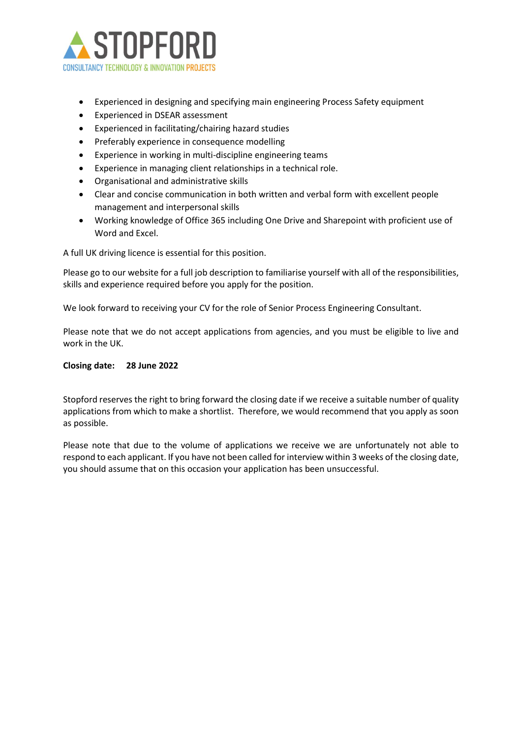

- Experienced in designing and specifying main engineering Process Safety equipment
- Experienced in DSEAR assessment
- Experienced in facilitating/chairing hazard studies
- Preferably experience in consequence modelling
- Experience in working in multi-discipline engineering teams
- Experience in managing client relationships in a technical role.
- Organisational and administrative skills
- Clear and concise communication in both written and verbal form with excellent people management and interpersonal skills
- Working knowledge of Office 365 including One Drive and Sharepoint with proficient use of Word and Excel.

A full UK driving licence is essential for this position.

Please go to our website for a full job description to familiarise yourself with all of the responsibilities, skills and experience required before you apply for the position. 

We look forward to receiving your CV for the role of Senior Process Engineering Consultant.  

Please note that we do not accept applications from agencies, and you must be eligible to live and work in the UK. 

# Closing date: 28 June 2022

Stopford reserves the right to bring forward the closing date if we receive a suitable number of quality applications from which to make a shortlist.  Therefore, we would recommend that you apply as soon as possible.  

Please note that due to the volume of applications we receive we are unfortunately not able to respond to each applicant. If you have not been called for interview within 3 weeks of the closing date, you should assume that on this occasion your application has been unsuccessful.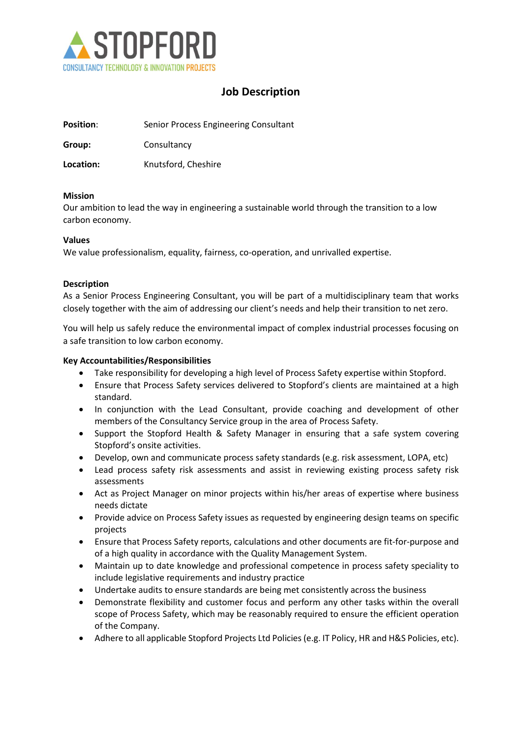

# Job Description

| <b>Position:</b> | Senior Process Engineering Consultant |
|------------------|---------------------------------------|
|                  |                                       |

Group: Consultancy

Location: Knutsford, Cheshire

### Mission

Our ambition to lead the way in engineering a sustainable world through the transition to a low carbon economy.

### Values

We value professionalism, equality, fairness, co-operation, and unrivalled expertise.

# Description

As a Senior Process Engineering Consultant, you will be part of a multidisciplinary team that works closely together with the aim of addressing our client's needs and help their transition to net zero.

You will help us safely reduce the environmental impact of complex industrial processes focusing on a safe transition to low carbon economy.

# Key Accountabilities/Responsibilities

- Take responsibility for developing a high level of Process Safety expertise within Stopford.
- Ensure that Process Safety services delivered to Stopford's clients are maintained at a high standard.
- In conjunction with the Lead Consultant, provide coaching and development of other members of the Consultancy Service group in the area of Process Safety.
- Support the Stopford Health & Safety Manager in ensuring that a safe system covering Stopford's onsite activities.
- Develop, own and communicate process safety standards (e.g. risk assessment, LOPA, etc)
- Lead process safety risk assessments and assist in reviewing existing process safety risk assessments
- Act as Project Manager on minor projects within his/her areas of expertise where business needs dictate
- Provide advice on Process Safety issues as requested by engineering design teams on specific projects
- Ensure that Process Safety reports, calculations and other documents are fit-for-purpose and of a high quality in accordance with the Quality Management System.
- Maintain up to date knowledge and professional competence in process safety speciality to include legislative requirements and industry practice
- Undertake audits to ensure standards are being met consistently across the business
- Demonstrate flexibility and customer focus and perform any other tasks within the overall scope of Process Safety, which may be reasonably required to ensure the efficient operation of the Company.
- Adhere to all applicable Stopford Projects Ltd Policies (e.g. IT Policy, HR and H&S Policies, etc).